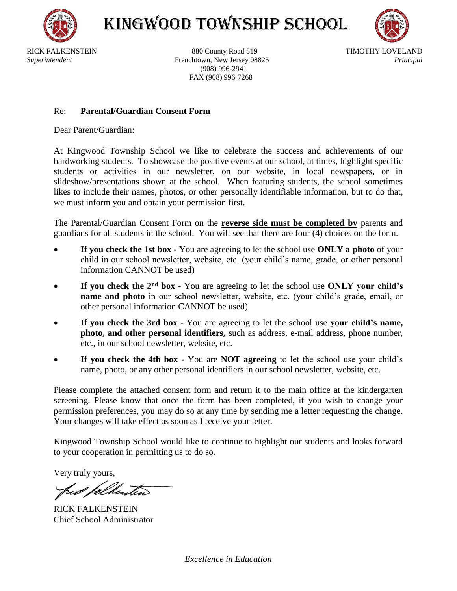

KINGWOOD TOWNSHIP SCHOOL



RICK FALKENSTEIN 880 County Road 519 TIMOTHY LOVELAND *Superintendent* Frenchtown, New Jersey 08825 *Principal* (908) 996-2941 FAX (908) 996-7268

## Re: **Parental/Guardian Consent Form**

Dear Parent/Guardian:

At Kingwood Township School we like to celebrate the success and achievements of our hardworking students. To showcase the positive events at our school, at times, highlight specific students or activities in our newsletter, on our website, in local newspapers, or in slideshow/presentations shown at the school. When featuring students, the school sometimes likes to include their names, photos, or other personally identifiable information, but to do that, we must inform you and obtain your permission first.

The Parental/Guardian Consent Form on the **reverse side must be completed by** parents and guardians for all students in the school. You will see that there are four (4) choices on the form.

- **If you check the 1st box** You are agreeing to let the school use **ONLY a photo** of your child in our school newsletter, website, etc. (your child's name, grade, or other personal information CANNOT be used)
- **If you check the 2nd box** You are agreeing to let the school use **ONLY your child's name and photo** in our school newsletter, website, etc. (your child's grade, email, or other personal information CANNOT be used)
- **If you check the 3rd box** You are agreeing to let the school use **your child's name, photo, and other personal identifiers,** such as address, e-mail address, phone number, etc., in our school newsletter, website, etc.
- **If you check the 4th box** You are **NOT agreeing** to let the school use your child's name, photo, or any other personal identifiers in our school newsletter, website, etc.

Please complete the attached consent form and return it to the main office at the kindergarten screening. Please know that once the form has been completed, if you wish to change your permission preferences, you may do so at any time by sending me a letter requesting the change. Your changes will take effect as soon as I receive your letter.

Kingwood Township School would like to continue to highlight our students and looks forward to your cooperation in permitting us to do so.

Very truly yours,

RICK FALKENSTEIN Chief School Administrator

*Excellence in Education*